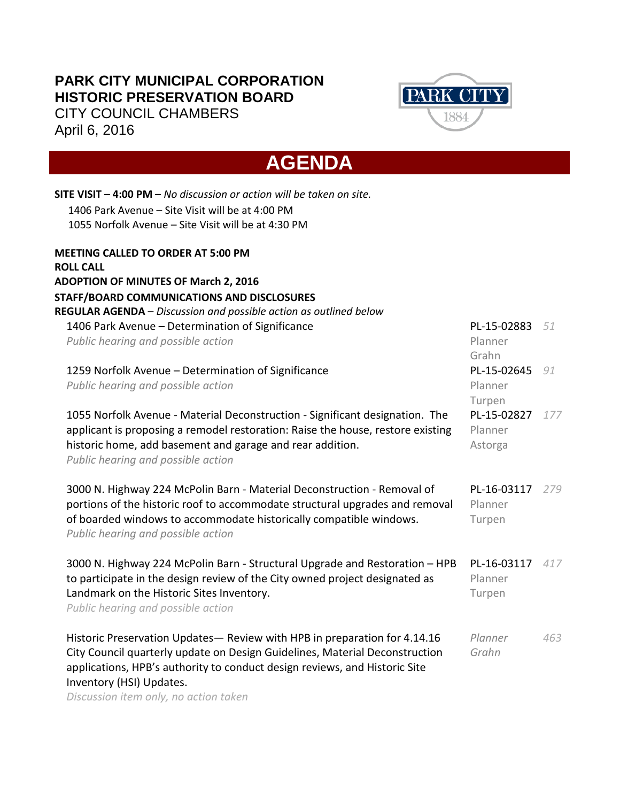## **PARK CITY MUNICIPAL CORPORATION HISTORIC PRESERVATION BOARD** CITY COUNCIL CHAMBERS April 6, 2016



## **AGENDA**

| SITE VISIT - 4:00 PM - No discussion or action will be taken on site.           |             |     |
|---------------------------------------------------------------------------------|-------------|-----|
| 1406 Park Avenue - Site Visit will be at 4:00 PM                                |             |     |
| 1055 Norfolk Avenue - Site Visit will be at 4:30 PM                             |             |     |
| <b>MEETING CALLED TO ORDER AT 5:00 PM</b>                                       |             |     |
| <b>ROLL CALL</b>                                                                |             |     |
| <b>ADOPTION OF MINUTES OF March 2, 2016</b>                                     |             |     |
| STAFF/BOARD COMMUNICATIONS AND DISCLOSURES                                      |             |     |
| REGULAR AGENDA - Discussion and possible action as outlined below               |             |     |
| 1406 Park Avenue - Determination of Significance                                | PL-15-02883 | 51  |
| Public hearing and possible action                                              | Planner     |     |
|                                                                                 | Grahn       |     |
| 1259 Norfolk Avenue - Determination of Significance                             | PL-15-02645 | 91  |
| Public hearing and possible action                                              | Planner     |     |
|                                                                                 | Turpen      |     |
| 1055 Norfolk Avenue - Material Deconstruction - Significant designation. The    | PL-15-02827 | 177 |
| applicant is proposing a remodel restoration: Raise the house, restore existing | Planner     |     |
| historic home, add basement and garage and rear addition.                       | Astorga     |     |
| Public hearing and possible action                                              |             |     |
| 3000 N. Highway 224 McPolin Barn - Material Deconstruction - Removal of         | PL-16-03117 | 279 |
| portions of the historic roof to accommodate structural upgrades and removal    | Planner     |     |
| of boarded windows to accommodate historically compatible windows.              | Turpen      |     |
| Public hearing and possible action                                              |             |     |
| 3000 N. Highway 224 McPolin Barn - Structural Upgrade and Restoration - HPB     | PL-16-03117 | 417 |
| to participate in the design review of the City owned project designated as     | Planner     |     |
| Landmark on the Historic Sites Inventory.                                       | Turpen      |     |
| Public hearing and possible action                                              |             |     |
| Historic Preservation Updates- Review with HPB in preparation for 4.14.16       | Planner     | 463 |
| City Council quarterly update on Design Guidelines, Material Deconstruction     | Grahn       |     |
| applications, HPB's authority to conduct design reviews, and Historic Site      |             |     |
| Inventory (HSI) Updates.                                                        |             |     |

*Discussion item only, no action taken*